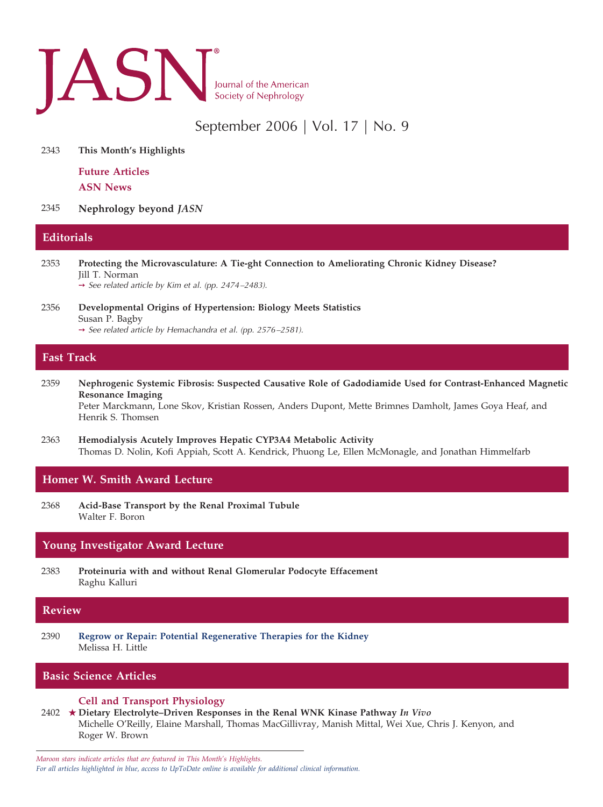

# September 2006 | Vol. 17 | No. 9

2343 **This Month's Highlights**

**Future Articles ASN News**

2345 **Nephrology beyond** *JASN*

# **Editorials**

- 2353 **Protecting the Microvasculature: A Tie-ght Connection to Ameliorating Chronic Kidney Disease?** Jill T. Norman
	- ➙ *See related article by Kim et al. (pp. 2474 –2483).*
- 2356 **Developmental Origins of Hypertension: Biology Meets Statistics** Susan P. Bagby ➙ *See related article by Hemachandra et al. (pp. 2576 –2581).*

# **Fast Track**

- 2359 **Nephrogenic Systemic Fibrosis: Suspected Causative Role of Gadodiamide Used for Contrast-Enhanced Magnetic Resonance Imaging** Peter Marckmann, Lone Skov, Kristian Rossen, Anders Dupont, Mette Brimnes Damholt, James Goya Heaf, and
- 2363 **Hemodialysis Acutely Improves Hepatic CYP3A4 Metabolic Activity** Thomas D. Nolin, Kofi Appiah, Scott A. Kendrick, Phuong Le, Ellen McMonagle, and Jonathan Himmelfarb

# **Homer W. Smith Award Lecture**

Henrik S. Thomsen

2368 **Acid-Base Transport by the Renal Proximal Tubule** Walter F. Boron

# **Young Investigator Award Lecture**

2383 **Proteinuria with and without Renal Glomerular Podocyte Effacement** Raghu Kalluri

## **Review**

2390 **Regrow or Repair: Potential Regenerative Therapies for the Kidney** Melissa H. Little

# **Basic Science Articles**

#### **Cell and Transport Physiology**

2402 **Dietary Electrolyte–Driven Responses in the Renal WNK Kinase Pathway** *In Vivo* Michelle O'Reilly, Elaine Marshall, Thomas MacGillivray, Manish Mittal, Wei Xue, Chris J. Kenyon, and Roger W. Brown

*Maroon stars indicate articles that are featured in This Month's Highlights. For all articles highlighted in blue, access to UpToDate online is available for additional clinical information.*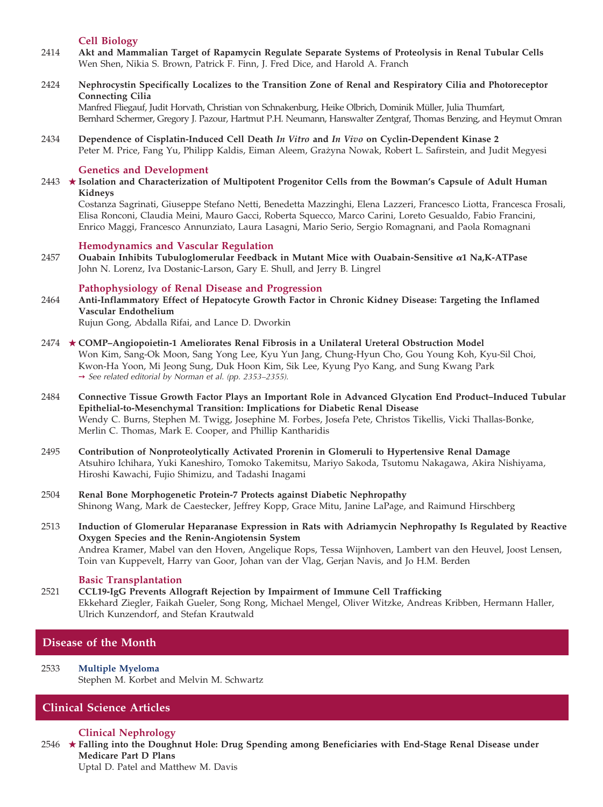# **Cell Biology**

- 2414 **Akt and Mammalian Target of Rapamycin Regulate Separate Systems of Proteolysis in Renal Tubular Cells** Wen Shen, Nikia S. Brown, Patrick F. Finn, J. Fred Dice, and Harold A. Franch
- 2424 **Nephrocystin Specifically Localizes to the Transition Zone of Renal and Respiratory Cilia and Photoreceptor Connecting Cilia**

Manfred Fliegauf, Judit Horvath, Christian von Schnakenburg, Heike Olbrich, Dominik Müller, Julia Thumfart, Bernhard Schermer, Gregory J. Pazour, Hartmut P.H. Neumann, Hanswalter Zentgraf, Thomas Benzing, and Heymut Omran

2434 **Dependence of Cisplatin-Induced Cell Death** *In Vitro* **and** *In Vivo* **on Cyclin-Dependent Kinase 2** Peter M. Price, Fang Yu, Philipp Kaldis, Eiman Aleem, Grażyna Nowak, Robert L. Safirstein, and Judit Megyesi

#### **Genetics and Development**

2443 **Isolation and Characterization of Multipotent Progenitor Cells from the Bowman's Capsule of Adult Human Kidneys**

Costanza Sagrinati, Giuseppe Stefano Netti, Benedetta Mazzinghi, Elena Lazzeri, Francesco Liotta, Francesca Frosali, Elisa Ronconi, Claudia Meini, Mauro Gacci, Roberta Squecco, Marco Carini, Loreto Gesualdo, Fabio Francini, Enrico Maggi, Francesco Annunziato, Laura Lasagni, Mario Serio, Sergio Romagnani, and Paola Romagnani

#### **Hemodynamics and Vascular Regulation**

2457 **Ouabain Inhibits Tubuloglomerular Feedback in Mutant Mice with Ouabain-Sensitive 1 Na,K-ATPase** John N. Lorenz, Iva Dostanic-Larson, Gary E. Shull, and Jerry B. Lingrel

### **Pathophysiology of Renal Disease and Progression**

- 2464 **Anti-Inflammatory Effect of Hepatocyte Growth Factor in Chronic Kidney Disease: Targeting the Inflamed Vascular Endothelium** Rujun Gong, Abdalla Rifai, and Lance D. Dworkin
- 2474 **COMP–Angiopoietin-1 Ameliorates Renal Fibrosis in a Unilateral Ureteral Obstruction Model** Won Kim, Sang-Ok Moon, Sang Yong Lee, Kyu Yun Jang, Chung-Hyun Cho, Gou Young Koh, Kyu-Sil Choi, Kwon-Ha Yoon, Mi Jeong Sung, Duk Hoon Kim, Sik Lee, Kyung Pyo Kang, and Sung Kwang Park ➙ *See related editorial by Norman et al. (pp. 2353–2355).*
- 2484 **Connective Tissue Growth Factor Plays an Important Role in Advanced Glycation End Product–Induced Tubular Epithelial-to-Mesenchymal Transition: Implications for Diabetic Renal Disease** Wendy C. Burns, Stephen M. Twigg, Josephine M. Forbes, Josefa Pete, Christos Tikellis, Vicki Thallas-Bonke, Merlin C. Thomas, Mark E. Cooper, and Phillip Kantharidis
- 2495 **Contribution of Nonproteolytically Activated Prorenin in Glomeruli to Hypertensive Renal Damage** Atsuhiro Ichihara, Yuki Kaneshiro, Tomoko Takemitsu, Mariyo Sakoda, Tsutomu Nakagawa, Akira Nishiyama, Hiroshi Kawachi, Fujio Shimizu, and Tadashi Inagami
- 2504 **Renal Bone Morphogenetic Protein-7 Protects against Diabetic Nephropathy** Shinong Wang, Mark de Caestecker, Jeffrey Kopp, Grace Mitu, Janine LaPage, and Raimund Hirschberg
- 2513 **Induction of Glomerular Heparanase Expression in Rats with Adriamycin Nephropathy Is Regulated by Reactive Oxygen Species and the Renin-Angiotensin System** Andrea Kramer, Mabel van den Hoven, Angelique Rops, Tessa Wijnhoven, Lambert van den Heuvel, Joost Lensen, Toin van Kuppevelt, Harry van Goor, Johan van der Vlag, Gerjan Navis, and Jo H.M. Berden

#### **Basic Transplantation**

2521 **CCL19-IgG Prevents Allograft Rejection by Impairment of Immune Cell Trafficking** Ekkehard Ziegler, Faikah Gueler, Song Rong, Michael Mengel, Oliver Witzke, Andreas Kribben, Hermann Haller, Ulrich Kunzendorf, and Stefan Krautwald

## **Disease of the Month**

2533 **Multiple Myeloma** Stephen M. Korbet and Melvin M. Schwartz

# **Clinical Science Articles**

## **Clinical Nephrology**

2546 **Falling into the Doughnut Hole: Drug Spending among Beneficiaries with End-Stage Renal Disease under Medicare Part D Plans**

Uptal D. Patel and Matthew M. Davis